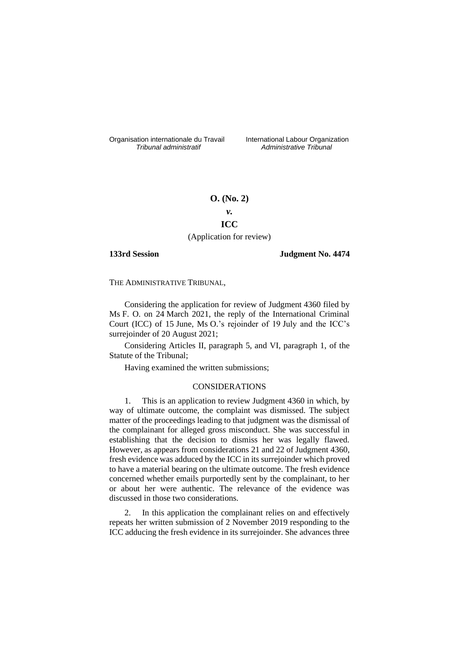Organisation internationale du Travail International Labour Organization<br>
Tribunal administratif Administrative Tribunal

*Tribunal administratif Administrative Tribunal*

## **O. (No. 2)**

# *v.*

# **ICC**

### (Application for review)

## **133rd Session Judgment No. 4474**

THE ADMINISTRATIVE TRIBUNAL,

Considering the application for review of Judgment 4360 filed by Ms F. O. on 24 March 2021, the reply of the International Criminal Court (ICC) of 15 June, Ms O.'s rejoinder of 19 July and the ICC's surrejoinder of 20 August 2021;

Considering Articles II, paragraph 5, and VI, paragraph 1, of the Statute of the Tribunal;

Having examined the written submissions;

## CONSIDERATIONS

1. This is an application to review Judgment 4360 in which, by way of ultimate outcome, the complaint was dismissed. The subject matter of the proceedings leading to that judgment was the dismissal of the complainant for alleged gross misconduct. She was successful in establishing that the decision to dismiss her was legally flawed. However, as appears from considerations 21 and 22 of Judgment 4360, fresh evidence was adduced by the ICC in its surrejoinder which proved to have a material bearing on the ultimate outcome. The fresh evidence concerned whether emails purportedly sent by the complainant, to her or about her were authentic. The relevance of the evidence was discussed in those two considerations.

2. In this application the complainant relies on and effectively repeats her written submission of 2 November 2019 responding to the ICC adducing the fresh evidence in its surrejoinder. She advances three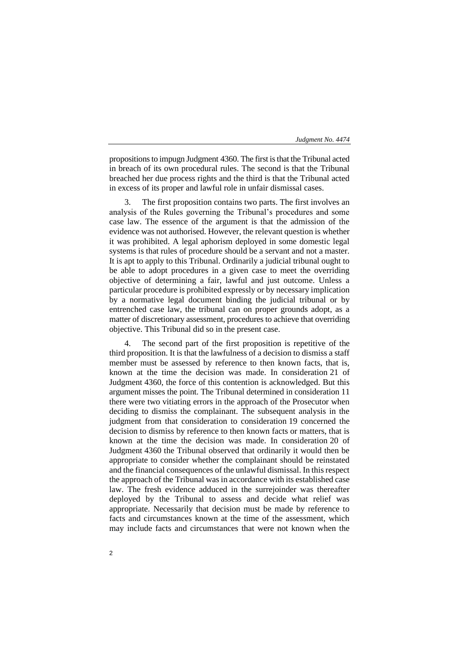### *Judgment No. 4474*

propositions to impugn Judgment 4360. The first is that the Tribunal acted in breach of its own procedural rules. The second is that the Tribunal breached her due process rights and the third is that the Tribunal acted in excess of its proper and lawful role in unfair dismissal cases.

The first proposition contains two parts. The first involves an analysis of the Rules governing the Tribunal's procedures and some case law. The essence of the argument is that the admission of the evidence was not authorised. However, the relevant question is whether it was prohibited. A legal aphorism deployed in some domestic legal systems is that rules of procedure should be a servant and not a master. It is apt to apply to this Tribunal. Ordinarily a judicial tribunal ought to be able to adopt procedures in a given case to meet the overriding objective of determining a fair, lawful and just outcome. Unless a particular procedure is prohibited expressly or by necessary implication by a normative legal document binding the judicial tribunal or by entrenched case law, the tribunal can on proper grounds adopt, as a matter of discretionary assessment, procedures to achieve that overriding objective. This Tribunal did so in the present case.

The second part of the first proposition is repetitive of the third proposition. It is that the lawfulness of a decision to dismiss a staff member must be assessed by reference to then known facts, that is, known at the time the decision was made. In consideration 21 of Judgment 4360, the force of this contention is acknowledged. But this argument misses the point. The Tribunal determined in consideration 11 there were two vitiating errors in the approach of the Prosecutor when deciding to dismiss the complainant. The subsequent analysis in the judgment from that consideration to consideration 19 concerned the decision to dismiss by reference to then known facts or matters, that is known at the time the decision was made. In consideration 20 of Judgment 4360 the Tribunal observed that ordinarily it would then be appropriate to consider whether the complainant should be reinstated and the financial consequences of the unlawful dismissal. In this respect the approach of the Tribunal was in accordance with its established case law. The fresh evidence adduced in the surrejoinder was thereafter deployed by the Tribunal to assess and decide what relief was appropriate. Necessarily that decision must be made by reference to facts and circumstances known at the time of the assessment, which may include facts and circumstances that were not known when the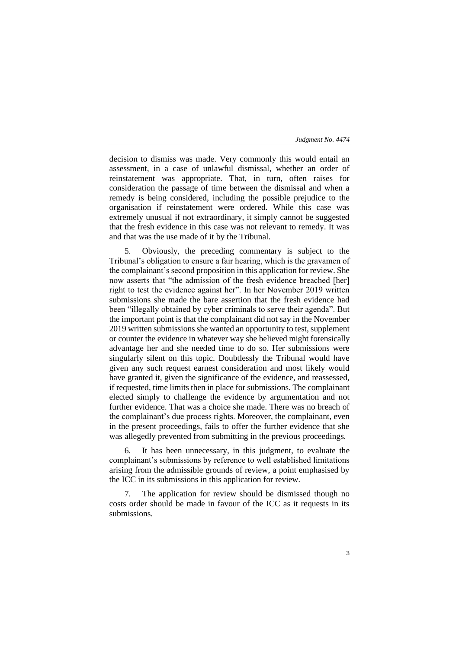*Judgment No. 4474*

decision to dismiss was made. Very commonly this would entail an assessment, in a case of unlawful dismissal, whether an order of reinstatement was appropriate. That, in turn, often raises for consideration the passage of time between the dismissal and when a remedy is being considered, including the possible prejudice to the organisation if reinstatement were ordered. While this case was extremely unusual if not extraordinary, it simply cannot be suggested that the fresh evidence in this case was not relevant to remedy. It was and that was the use made of it by the Tribunal.

5. Obviously, the preceding commentary is subject to the Tribunal's obligation to ensure a fair hearing, which is the gravamen of the complainant's second proposition in this application for review. She now asserts that "the admission of the fresh evidence breached [her] right to test the evidence against her". In her November 2019 written submissions she made the bare assertion that the fresh evidence had been "illegally obtained by cyber criminals to serve their agenda". But the important point is that the complainant did not say in the November 2019 written submissions she wanted an opportunity to test, supplement or counter the evidence in whatever way she believed might forensically advantage her and she needed time to do so. Her submissions were singularly silent on this topic. Doubtlessly the Tribunal would have given any such request earnest consideration and most likely would have granted it, given the significance of the evidence, and reassessed, if requested, time limits then in place for submissions. The complainant elected simply to challenge the evidence by argumentation and not further evidence. That was a choice she made. There was no breach of the complainant's due process rights. Moreover, the complainant, even in the present proceedings, fails to offer the further evidence that she was allegedly prevented from submitting in the previous proceedings.

6. It has been unnecessary, in this judgment, to evaluate the complainant's submissions by reference to well established limitations arising from the admissible grounds of review, a point emphasised by the ICC in its submissions in this application for review.

7. The application for review should be dismissed though no costs order should be made in favour of the ICC as it requests in its submissions.